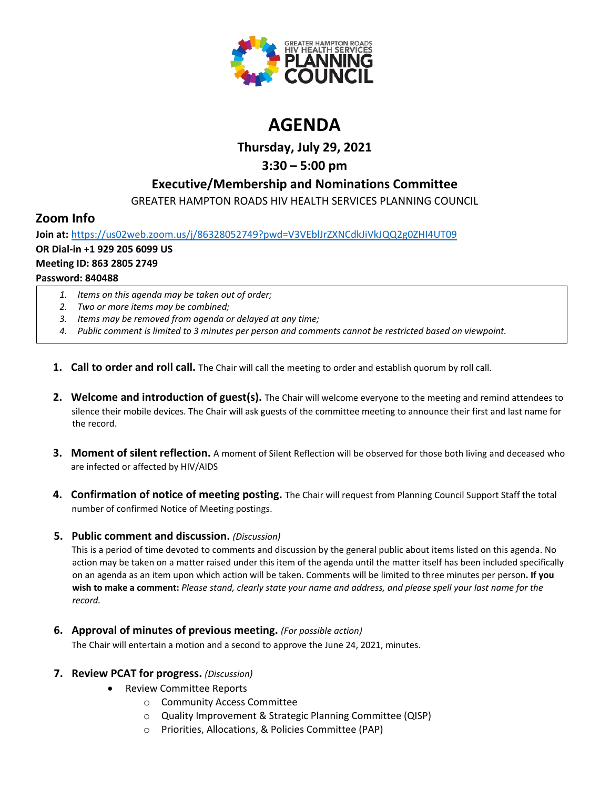

# **AGENDA**

**Thursday, July 29, 2021**

## **3:30 – 5:00 pm**

## **Executive/Membership and Nominations Committee**

GREATER HAMPTON ROADS HIV HEALTH SERVICES PLANNING COUNCIL

## **Zoom Info**

**Join at:** <https://us02web.zoom.us/j/86328052749?pwd=V3VEblJrZXNCdkJiVkJQQ2g0ZHI4UT09> **OR Dial-in** +**1 929 205 6099 US Meeting ID: 863 2805 2749 Password: 840488**

- *1. Items on this agenda may be taken out of order;*
- *2. Two or more items may be combined;*
- *3. Items may be removed from agenda or delayed at any time;*
- *4. Public comment is limited to 3 minutes per person and comments cannot be restricted based on viewpoint.*
- **1. Call to order and roll call.** The Chair will call the meeting to order and establish quorum by roll call.
- **2. Welcome and introduction of guest(s).** The Chair will welcome everyone to the meeting and remind attendees to silence their mobile devices. The Chair will ask guests of the committee meeting to announce their first and last name for the record.
- **3. Moment of silent reflection.** A moment of Silent Reflection will be observed for those both living and deceased who are infected or affected by HIV/AIDS
- **4. Confirmation of notice of meeting posting.** The Chair will request from Planning Council Support Staff the total number of confirmed Notice of Meeting postings.

### **5. Public comment and discussion.** *(Discussion)*

This is a period of time devoted to comments and discussion by the general public about items listed on this agenda. No action may be taken on a matter raised under this item of the agenda until the matter itself has been included specifically on an agenda as an item upon which action will be taken. Comments will be limited to three minutes per person**. If you wish to make a comment:** *Please stand, clearly state your name and address, and please spell your last name for the record.*

**6. Approval of minutes of previous meeting.** *(For possible action)*

The Chair will entertain a motion and a second to approve the June 24, 2021, minutes.

### **7. Review PCAT for progress.** *(Discussion)*

- Review Committee Reports
	- o Community Access Committee
	- o Quality Improvement & Strategic Planning Committee (QISP)
	- o Priorities, Allocations, & Policies Committee (PAP)